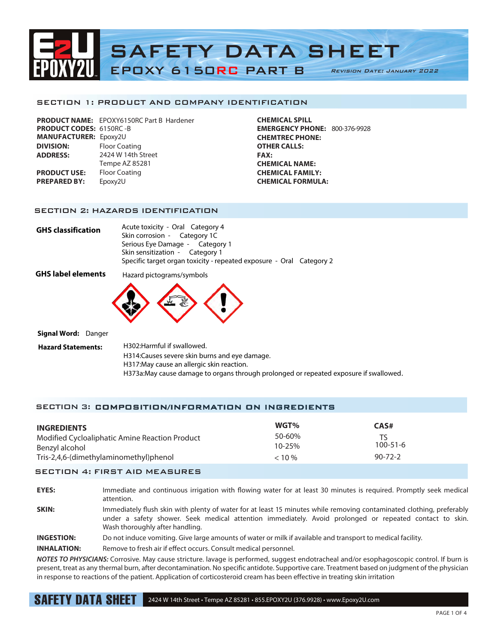

#### SECTION 1: PRODUCT AND COMPANY IDENTIFICATION

|                                | <b>PRODUCT NAME:</b> EPOXY6150RC Part B Hardener |
|--------------------------------|--------------------------------------------------|
| <b>PRODUCT CODES: 6150RC-B</b> |                                                  |
| <b>MANUFACTURER: Epoxy2U</b>   |                                                  |
| <b>DIVISION:</b>               | <b>Floor Coating</b>                             |
| <b>ADDRESS:</b>                | 2424 W 14th Street                               |
|                                | Tempe AZ 85281                                   |
| <b>PRODUCT USE:</b>            | <b>Floor Coating</b>                             |
| <b>PREPARED BY:</b>            | Epoxy2U                                          |
|                                |                                                  |

**CHEMICAL SPILL EMERGENCY PHONE:** 800-376-9928 **CHEMTREC PHONE: OTHER CALLS: FAX: CHEMICAL NAME: CHEMICAL FAMILY: CHEMICAL FORMULA:**

### SECTION 2: HAZARDS IDENTIFICATION

| GHS classification | Acute toxicity - Oral Category 4                                     |  |
|--------------------|----------------------------------------------------------------------|--|
|                    | Skin corrosion - Category 1C                                         |  |
|                    | Serious Eye Damage - Category 1                                      |  |
|                    | Skin sensitization - Category 1                                      |  |
|                    | Specific target organ toxicity - repeated exposure - Oral Category 2 |  |

**GHS label elements** Hazard pictograms/symbols



**Signal Word:** Danger

**Hazard Statements:** H302:Harmful if swallowed. H314:Causes severe skin burns and eye damage. H317:May cause an allergic skin reaction. H373a:May cause damage to organs through prolonged or repeated exposure if swallowed.

# SECTION 3: COMPOSITION/INFORMATION ON INGREDIENTS

| <b>INGREDIENTS</b><br>Modified Cycloaliphatic Amine Reaction Product<br>Benzyl alcohol | WGT%<br>50-60%<br>$10 - 25%$ | CAS#<br>$100 - 51 - 6$ |  |
|----------------------------------------------------------------------------------------|------------------------------|------------------------|--|
| Tris-2,4,6-(dimethylaminomethyl)phenol                                                 | $< 10 \%$                    | $90 - 72 - 2$          |  |
|                                                                                        |                              |                        |  |

#### SECTION 4: FIRST AID MEASURES

**EYES:** Immediate and continuous irrigation with flowing water for at least 30 minutes is required. Promptly seek medical attention.

**SKIN:** Immediately flush skin with plenty of water for at least 15 minutes while removing contaminated clothing, preferably under a safety shower. Seek medical attention immediately. Avoid prolonged or repeated contact to skin. Wash thoroughly after handling.

**INGESTION:** Do not induce vomiting. Give large amounts of water or milk if available and transport to medical facility.

**INHALATION:** Remove to fresh air if effect occurs. Consult medical personnel.

*NOTES TO PHYSICIANS:* Corrosive. May cause stricture. lavage is performed, suggest endotracheal and/or esophagoscopic control. If burn is present, treat as any thermal burn, after decontamination. No specific antidote. Supportive care. Treatment based on judgment of the physician in response to reactions of the patient. Application of corticosteroid cream has been effective in treating skin irritation

SAFETY DATA SHEET 2424 W 14th Street • Tempe AZ 85281 • 855.EPOXY2U (376.9928) • www.Epoxy2U.com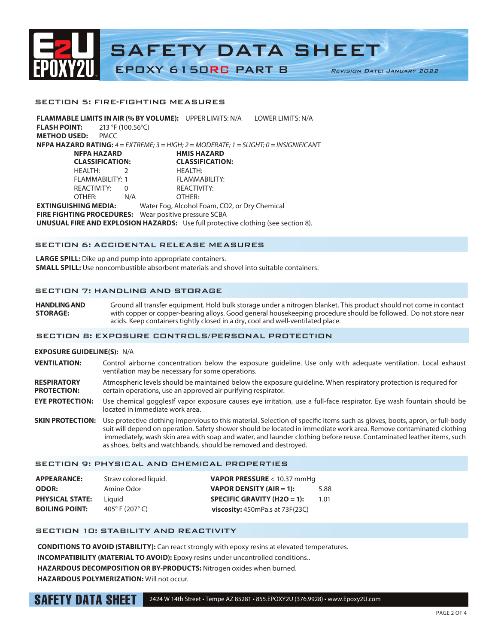

#### SECTION 5: FIRE-FIGHTING MEASURES

**FLAMMABLE LIMITS IN AIR (% BY VOLUME):** UPPER LIMITS: N/A LOWER LIMITS: N/A **FLASH POINT:** 213 °F (100.56°C) **METHOD USED:** PMCC **NFPA HAZARD RATING:** *4 = EXTREME; 3 = HIGH; 2 = MODERATE; 1 = SLIGHT; 0 = INSIGNIFICAN*T **NFPA HAZARD HMIS HAZARD CLASSIFICATION: CLASSIFICATION:** HEALTH: 2 HEALTH: FLAMMABILITY: 1 REACTIVITY: 0 REACTIVITY: OTHER: N/A OTHER: **EXTINGUISHING MEDIA:** Water Fog, Alcohol Foam, CO2, or Dry Chemical **FIRE FIGHTING PROCEDURES:** Wear positive pressure SCBA **UNUSUAL FIRE AND EXPLOSION HAZARDS:** Use full protective clothing (see section 8).

### SECTION 6: ACCIDENTAL RELEASE MEASURES

**LARGE SPILL:** Dike up and pump into appropriate containers. **SMALL SPILL:** Use noncombustible absorbent materials and shovel into suitable containers.

# SECTION 7: HANDLING AND STORAGE

**HANDLING AND STORAGE:**  Ground all transfer equipment. Hold bulk storage under a nitrogen blanket. This product should not come in contact with copper or copper-bearing alloys. Good general housekeeping procedure should be followed. Do not store near acids. Keep containers tightly closed in a dry, cool and well-ventilated place.

#### SECTION 8: EXPOSURE CONTROLS/PERSONAL PROTECTION

### **EXPOSURE GUIDELINE(S):** N/A

- **VENTILATION:** Control airborne concentration below the exposure guideline. Use only with adequate ventilation. Local exhaust ventilation may be necessary for some operations.
- **RESPIRATORY** Atmospheric levels should be maintained below the exposure guideline. When respiratory protection is required for **PROTECTION:** certain operations, use an approved air purifying respirator.
- **EYE PROTECTION:** Use chemical gogglesIf vapor exposure causes eye irritation, use a full-face respirator. Eye wash fountain should be located in immediate work area.
- **SKIN PROTECTION:** Use protective clothing impervious to this material. Selection of specific items such as gloves, boots, apron, or full-body suit will depend on operation. Safety shower should be located in immediate work area. Remove contaminated clothing immediately, wash skin area with soap and water, and launder clothing before reuse. Contaminated leather items, such as shoes, belts and watchbands, should be removed and destroyed.

#### SECTION 9: PHYSICAL AND CHEMICAL PROPERTIES

| <b>APPEARANCE:</b>     | Straw colored liquid.               | VAPOR PRESSURE < 10.37 mmHg                |      |
|------------------------|-------------------------------------|--------------------------------------------|------|
| <b>ODOR:</b>           | Amine Odor                          | VAPOR DENSITY (AIR = 1):                   | 5.88 |
| <b>PHYSICAL STATE:</b> | Liauid                              | SPECIFIC GRAVITY (H2O = 1):                | 1.01 |
| <b>BOILING POINT:</b>  | 405 $^{\circ}$ F (207 $^{\circ}$ C) | <b>viscosity:</b> $450mPa.s$ at $73F(23C)$ |      |

# SECTION 10: STABILITY AND REACTIVITY

**CONDITIONS TO AVOID (STABILITY):** Can react strongly with epoxy resins at elevated temperatures. **INCOMPATIBILITY (MATERIAL TO AVOID):** Epoxy resins under uncontrolled conditions.. **HAZARDOUS DECOMPOSITION OR BY-PRODUCTS:** Nitrogen oxides when burned. **HAZARDOUS POLYMERIZATION:** Will not occur.

SAFETY DATA SHEET

# 2424 W 14th Street • Tempe AZ 85281 • 855.EPOXY2U (376.9928) • www.Epoxy2U.com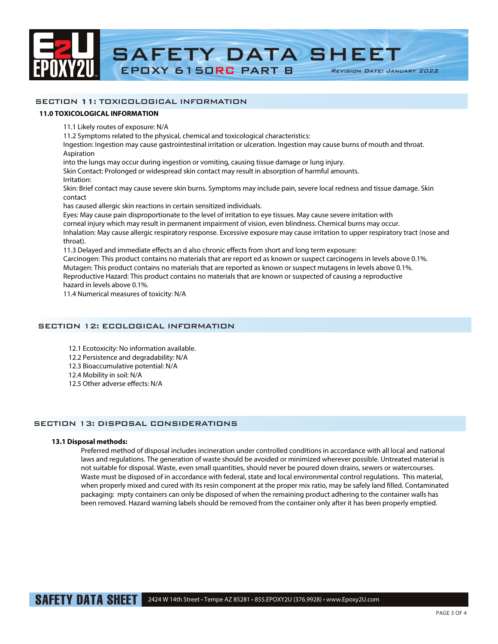

# SECTION 11: TOXICOLOGICAL INFORMATION

### **11.0 TOXICOLOGICAL INFORMATION**

11.1 Likely routes of exposure: N/A

11.2 Symptoms related to the physical, chemical and toxicological characteristics:

Ingestion: Ingestion may cause gastrointestinal irritation or ulceration. Ingestion may cause burns of mouth and throat. Aspiration

into the lungs may occur during ingestion or vomiting, causing tissue damage or lung injury.

Skin Contact: Prolonged or widespread skin contact may result in absorption of harmful amounts.

Irritation:

Skin: Brief contact may cause severe skin burns. Symptoms may include pain, severe local redness and tissue damage. Skin contact

has caused allergic skin reactions in certain sensitized individuals.

Eyes: May cause pain disproportionate to the level of irritation to eye tissues. May cause severe irritation with

corneal injury which may result in permanent impairment of vision, even blindness. Chemical burns may occur.

Inhalation: May cause allergic respiratory response. Excessive exposure may cause irritation to upper respiratory tract (nose and throat).

11.3 Delayed and immediate effects an d also chronic effects from short and long term exposure:

Carcinogen: This product contains no materials that are report ed as known or suspect carcinogens in levels above 0.1%. Mutagen: This product contains no materials that are reported as known or suspect mutagens in levels above 0.1%. Reproductive Hazard: This product contains no materials that are known or suspected of causing a reproductive hazard in levels above 0.1%.

11.4 Numerical measures of toxicity: N/A

## SECTION 12: ECOLOGICAL INFORMATION

12.1 Ecotoxicity: No information available.

12.2 Persistence and degradability: N/A

12.3 Bioaccumulative potential: N/A

12.4 Mobility in soil: N/A

12.5 Other adverse effects: N/A

# SECTION 13: DISPOSAL CONSIDERATIONS

# **13.1 Disposal methods:**

Preferred method of disposal includes incineration under controlled conditions in accordance with all local and national laws and regulations. The generation of waste should be avoided or minimized wherever possible. Untreated material is not suitable for disposal. Waste, even small quantities, should never be poured down drains, sewers or watercourses. Waste must be disposed of in accordance with federal, state and local environmental control regulations. This material, when properly mixed and cured with its resin component at the proper mix ratio, may be safely land filled. Contaminated packaging: mpty containers can only be disposed of when the remaining product adhering to the container walls has been removed. Hazard warning labels should be removed from the container only after it has been properly emptied.